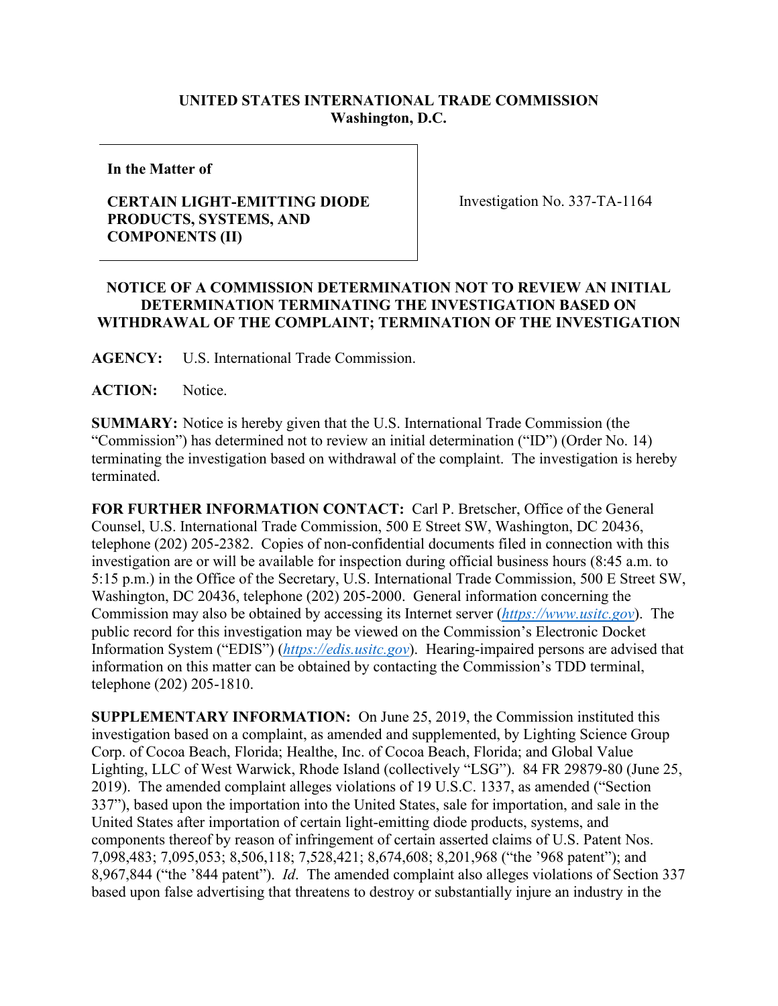## **UNITED STATES INTERNATIONAL TRADE COMMISSION Washington, D.C.**

**In the Matter of**

## **CERTAIN LIGHT-EMITTING DIODE PRODUCTS, SYSTEMS, AND COMPONENTS (II)**

Investigation No. 337-TA-1164

## **NOTICE OF A COMMISSION DETERMINATION NOT TO REVIEW AN INITIAL DETERMINATION TERMINATING THE INVESTIGATION BASED ON WITHDRAWAL OF THE COMPLAINT; TERMINATION OF THE INVESTIGATION**

**AGENCY:** U.S. International Trade Commission.

**ACTION:** Notice.

**SUMMARY:** Notice is hereby given that the U.S. International Trade Commission (the "Commission") has determined not to review an initial determination ("ID") (Order No. 14) terminating the investigation based on withdrawal of the complaint. The investigation is hereby terminated.

**FOR FURTHER INFORMATION CONTACT:** Carl P. Bretscher, Office of the General Counsel, U.S. International Trade Commission, 500 E Street SW, Washington, DC 20436, telephone (202) 205-2382. Copies of non-confidential documents filed in connection with this investigation are or will be available for inspection during official business hours (8:45 a.m. to 5:15 p.m.) in the Office of the Secretary, U.S. International Trade Commission, 500 E Street SW, Washington, DC 20436, telephone (202) 205-2000. General information concerning the Commission may also be obtained by accessing its Internet server (*[https://www.usitc.gov](https://www.usitc.gov/)*). The public record for this investigation may be viewed on the Commission's Electronic Docket Information System ("EDIS") (*[https://edis.usitc.gov](https://edis.usitc.gov/)*). Hearing-impaired persons are advised that information on this matter can be obtained by contacting the Commission's TDD terminal, telephone (202) 205-1810.

**SUPPLEMENTARY INFORMATION:** On June 25, 2019, the Commission instituted this investigation based on a complaint, as amended and supplemented, by Lighting Science Group Corp. of Cocoa Beach, Florida; Healthe, Inc. of Cocoa Beach, Florida; and Global Value Lighting, LLC of West Warwick, Rhode Island (collectively "LSG"). 84 FR 29879-80 (June 25, 2019). The amended complaint alleges violations of 19 U.S.C. 1337, as amended ("Section 337"), based upon the importation into the United States, sale for importation, and sale in the United States after importation of certain light-emitting diode products, systems, and components thereof by reason of infringement of certain asserted claims of U.S. Patent Nos. 7,098,483; 7,095,053; 8,506,118; 7,528,421; 8,674,608; 8,201,968 ("the '968 patent"); and 8,967,844 ("the '844 patent"). *Id*. The amended complaint also alleges violations of Section 337 based upon false advertising that threatens to destroy or substantially injure an industry in the